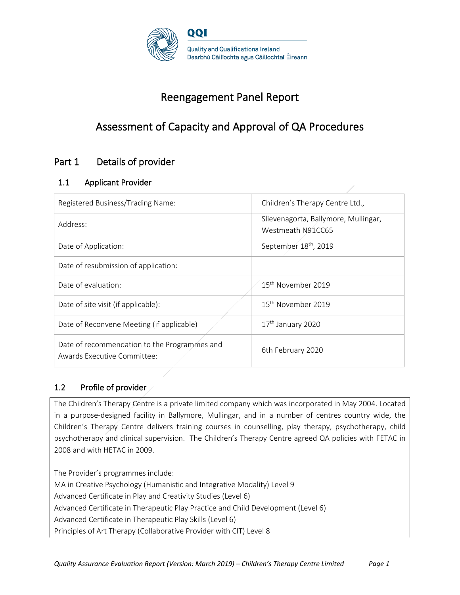

# Reengagement Panel Report

# Assessment of Capacity and Approval of QA Procedures

## Part 1 Details of provider

## 1.1 Applicant Provider

| Registered Business/Trading Name:                                           | Children's Therapy Centre Ltd.,                           |
|-----------------------------------------------------------------------------|-----------------------------------------------------------|
| Address:                                                                    | Slievenagorta, Ballymore, Mullingar,<br>Westmeath N91CC65 |
| Date of Application:                                                        | September 18 <sup>th</sup> , 2019                         |
| Date of resubmission of application:                                        |                                                           |
| Date of evaluation:                                                         | 15 <sup>th</sup> November 2019                            |
| Date of site visit (if applicable):                                         | 15 <sup>th</sup> November 2019                            |
| Date of Reconvene Meeting (if applicable)                                   | 17 <sup>th</sup> January 2020                             |
| Date of recommendation to the Programmes and<br>Awards Executive Committee: | 6th February 2020                                         |

## 1.2 Profile of provider

The Children's Therapy Centre is a private limited company which was incorporated in May 2004. Located in a purpose-designed facility in Ballymore, Mullingar, and in a number of centres country wide, the Children's Therapy Centre delivers training courses in counselling, play therapy, psychotherapy, child psychotherapy and clinical supervision. The Children's Therapy Centre agreed QA policies with FETAC in 2008 and with HETAC in 2009.

The Provider's programmes include: MA in Creative Psychology (Humanistic and Integrative Modality) Level 9 Advanced Certificate in Play and Creativity Studies (Level 6) Advanced Certificate in Therapeutic Play Practice and Child Development (Level 6) Advanced Certificate in Therapeutic Play Skills (Level 6) Principles of Art Therapy (Collaborative Provider with CIT) Level 8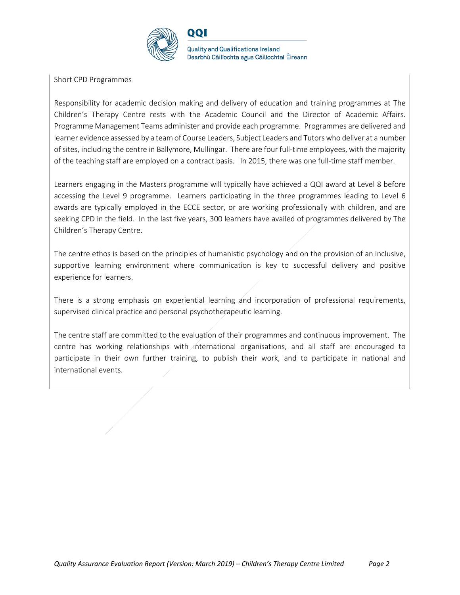

Short CPD Programmes

Responsibility for academic decision making and delivery of education and training programmes at The Children's Therapy Centre rests with the Academic Council and the Director of Academic Affairs. Programme Management Teams administer and provide each programme. Programmes are delivered and learner evidence assessed by a team of Course Leaders, Subject Leaders and Tutors who deliver at a number of sites, including the centre in Ballymore, Mullingar. There are four full-time employees, with the majority of the teaching staff are employed on a contract basis. In 2015, there was one full-time staff member.

Learners engaging in the Masters programme will typically have achieved a QQI award at Level 8 before accessing the Level 9 programme. Learners participating in the three programmes leading to Level 6 awards are typically employed in the ECCE sector, or are working professionally with children, and are seeking CPD in the field. In the last five years, 300 learners have availed of programmes delivered by The Children's Therapy Centre.

The centre ethos is based on the principles of humanistic psychology and on the provision of an inclusive, supportive learning environment where communication is key to successful delivery and positive experience for learners.

There is a strong emphasis on experiential learning and incorporation of professional requirements, supervised clinical practice and personal psychotherapeutic learning.

The centre staff are committed to the evaluation of their programmes and continuous improvement. The centre has working relationships with international organisations, and all staff are encouraged to participate in their own further training, to publish their work, and to participate in national and international events.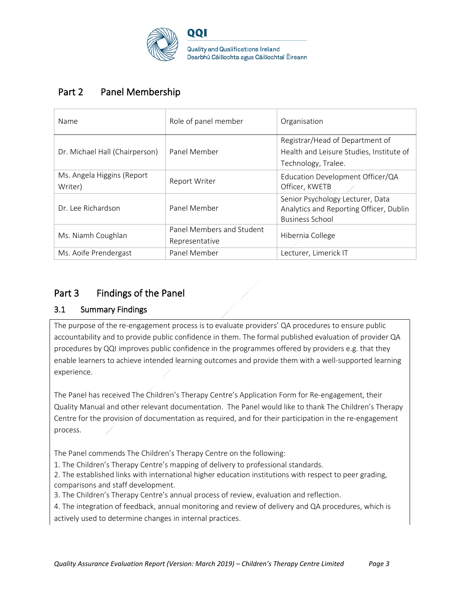

## Part 2 Panel Membership

| Name                                  | Role of panel member                        | Organisation                                                                                          |
|---------------------------------------|---------------------------------------------|-------------------------------------------------------------------------------------------------------|
| Dr. Michael Hall (Chairperson)        | Panel Member                                | Registrar/Head of Department of<br>Health and Leisure Studies, Institute of<br>Technology, Tralee.    |
| Ms. Angela Higgins (Report<br>Writer) | Report Writer                               | Education Development Officer/QA<br>Officer, KWETB                                                    |
| Dr. Lee Richardson                    | Panel Member                                | Senior Psychology Lecturer, Data<br>Analytics and Reporting Officer, Dublin<br><b>Business School</b> |
| Ms. Niamh Coughlan                    | Panel Members and Student<br>Representative | Hibernia College                                                                                      |
| Ms. Aoife Prendergast                 | Panel Member                                | Lecturer, Limerick IT                                                                                 |

## Part 3 Findings of the Panel

## 3.1 Summary Findings

The purpose of the re-engagement process is to evaluate providers' QA procedures to ensure public accountability and to provide public confidence in them. The formal published evaluation of provider QA procedures by QQI improves public confidence in the programmes offered by providers e.g. that they enable learners to achieve intended learning outcomes and provide them with a well-supported learning experience.

The Panel has received The Children's Therapy Centre's Application Form for Re-engagement, their Quality Manual and other relevant documentation. The Panel would like to thank The Children's Therapy Centre for the provision of documentation as required, and for their participation in the re-engagement process.

The Panel commends The Children's Therapy Centre on the following:

1. The Children's Therapy Centre's mapping of delivery to professional standards.

2. The established links with international higher education institutions with respect to peer grading, comparisons and staff development.

3. The Children's Therapy Centre's annual process of review, evaluation and reflection.

4. The integration of feedback, annual monitoring and review of delivery and QA procedures, which is actively used to determine changes in internal practices.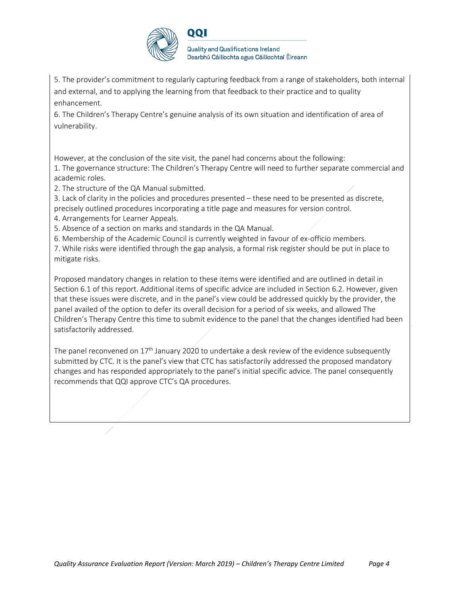

5. The provider's commitment to regularly capturing feedback from a range of stakeholders, both internal and external, and to applying the learning from that feedback to their practice and to quality enhancement.

6. The Children's Therapy Centre's genuine analysis of its own situation and identification of area of vulnerability.

However, at the conclusion of the site visit, the panel had concerns about the following: 1. The governance structure: The Children's Therapy Centre will need to further separate commercial and academic roles.

2. The structure of the QA Manual submitted.

3. Lack of clarity in the policies and procedures presented – these need to be presented as discrete, precisely outlined procedures incorporating a title page and measures for version control.

4. Arrangements for Learner Appeals.

5. Absence of a section on marks and standards in the QA Manual.

6. Membership of the Academic Council is currently weighted in favour of ex-officio members.

7. While risks were identified through the gap analysis, a formal risk register should be put in place to mitigate risks.

Proposed mandatory changes in relation to these items were identified and are outlined in detail in Section 6.1 of this report. Additional items of specific advice are included in Section 6.2. However, given that these issues were discrete, and in the panel's view could be addressed quickly by the provider, the panel availed of the option to defer its overall decision for a period of six weeks, and allowed The Children's Therapy Centre this time to submit evidence to the panel that the changes identified had been satisfactorily addressed.

The panel reconvened on  $17<sup>th</sup>$  January 2020 to undertake a desk review of the evidence subsequently submitted by CTC. It is the panel's view that CTC has satisfactorily addressed the proposed mandatory changes and has responded appropriately to the panel's initial specific advice. The panel consequently recommends that QQI approve CTC's QA procedures.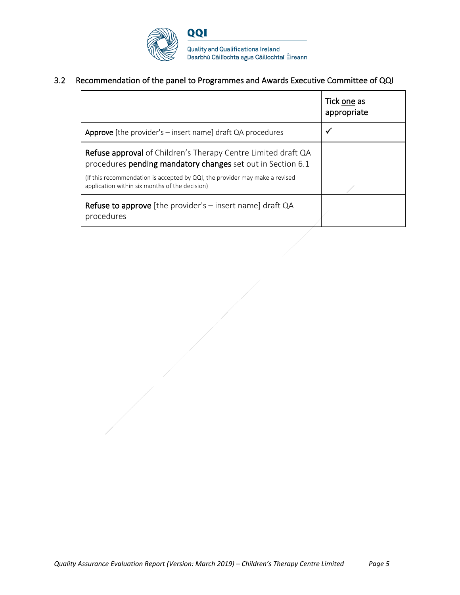

## 3.2 Recommendation of the panel to Programmes and Awards Executive Committee of QQI

|                                                                                                                                                                                                                                                                      | Tick one as<br>appropriate |
|----------------------------------------------------------------------------------------------------------------------------------------------------------------------------------------------------------------------------------------------------------------------|----------------------------|
| <b>Approve</b> [the provider's $-$ insert name] draft QA procedures                                                                                                                                                                                                  |                            |
| <b>Refuse approval</b> of Children's Therapy Centre Limited draft QA<br>procedures pending mandatory changes set out in Section 6.1<br>(If this recommendation is accepted by QQI, the provider may make a revised<br>application within six months of the decision) |                            |
| Refuse to approve [the provider's - insert name] draft QA<br>procedures                                                                                                                                                                                              |                            |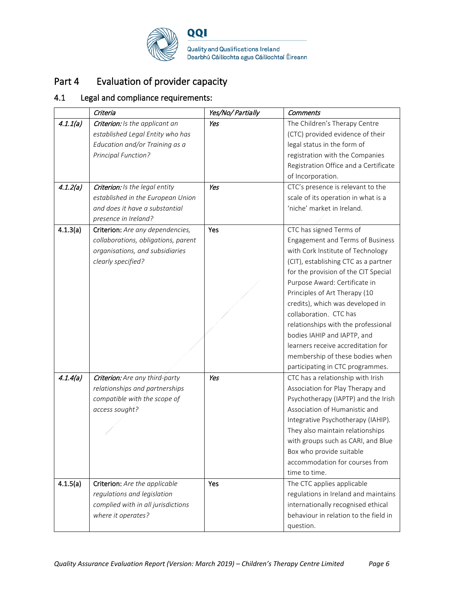

# Part 4 Evaluation of provider capacity

## 4.1 Legal and compliance requirements:

|          | Criteria                            | Yes/No/ Partially | <b>Comments</b>                       |
|----------|-------------------------------------|-------------------|---------------------------------------|
| 4.1.1(a) | Criterion: Is the applicant an      | Yes               | The Children's Therapy Centre         |
|          | established Legal Entity who has    |                   | (CTC) provided evidence of their      |
|          | Education and/or Training as a      |                   | legal status in the form of           |
|          | Principal Function?                 |                   | registration with the Companies       |
|          |                                     |                   | Registration Office and a Certificate |
|          |                                     |                   | of Incorporation.                     |
| 4.1.2(a) | Criterion: Is the legal entity      | Yes               | CTC's presence is relevant to the     |
|          | established in the European Union   |                   | scale of its operation in what is a   |
|          | and does it have a substantial      |                   | 'niche' market in Ireland.            |
|          | presence in Ireland?                |                   |                                       |
| 4.1.3(a) | Criterion: Are any dependencies,    | Yes               | CTC has signed Terms of               |
|          | collaborations, obligations, parent |                   | Engagement and Terms of Business      |
|          | organisations, and subsidiaries     |                   | with Cork Institute of Technology     |
|          | clearly specified?                  |                   | (CIT), establishing CTC as a partner  |
|          |                                     |                   | for the provision of the CIT Special  |
|          |                                     |                   | Purpose Award: Certificate in         |
|          |                                     |                   | Principles of Art Therapy (10         |
|          |                                     |                   | credits), which was developed in      |
|          |                                     |                   | collaboration. CTC has                |
|          |                                     |                   | relationships with the professional   |
|          |                                     |                   | bodies IAHIP and IAPTP, and           |
|          |                                     |                   | learners receive accreditation for    |
|          |                                     |                   | membership of these bodies when       |
|          |                                     |                   | participating in CTC programmes.      |
| 4.1.4(a) | Criterion: Are any third-party      | Yes               | CTC has a relationship with Irish     |
|          | relationships and partnerships      |                   | Association for Play Therapy and      |
|          | compatible with the scope of        |                   | Psychotherapy (IAPTP) and the Irish   |
|          | access sought?                      |                   | Association of Humanistic and         |
|          |                                     |                   | Integrative Psychotherapy (IAHIP).    |
|          |                                     |                   | They also maintain relationships      |
|          |                                     |                   | with groups such as CARI, and Blue    |
|          |                                     |                   | Box who provide suitable              |
|          |                                     |                   | accommodation for courses from        |
|          |                                     |                   | time to time.                         |
| 4.1.5(a) | Criterion: Are the applicable       | Yes               | The CTC applies applicable            |
|          | regulations and legislation         |                   | regulations in Ireland and maintains  |
|          | complied with in all jurisdictions  |                   | internationally recognised ethical    |
|          | where it operates?                  |                   | behaviour in relation to the field in |
|          |                                     |                   | question.                             |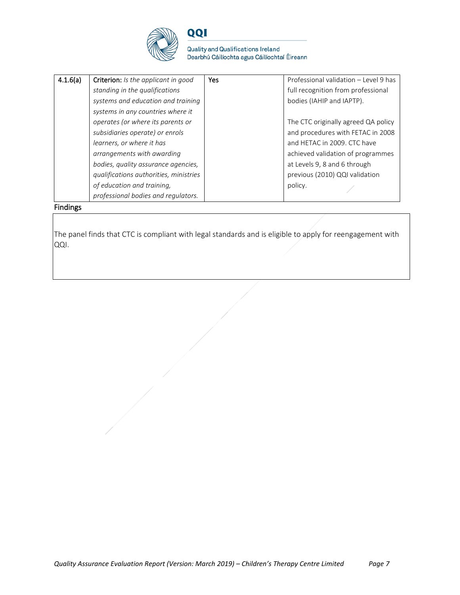

**Quality and Qualifications Ireland** Dearbhú Cáilíochta agus Cáilíochtaí Éireann

| 4.1.6(a) | Criterion: Is the applicant in good    | <b>Yes</b> | Professional validation - Level 9 has |
|----------|----------------------------------------|------------|---------------------------------------|
|          | standing in the qualifications         |            | full recognition from professional    |
|          | systems and education and training     |            | bodies (IAHIP and IAPTP).             |
|          | systems in any countries where it      |            |                                       |
|          | operates (or where its parents or      |            | The CTC originally agreed QA policy   |
|          | subsidiaries operate) or enrols        |            | and procedures with FETAC in 2008     |
|          | learners, or where it has              |            | and HETAC in 2009. CTC have           |
|          | arrangements with awarding             |            | achieved validation of programmes     |
|          | bodies, quality assurance agencies,    |            | at Levels 9, 8 and 6 through          |
|          | qualifications authorities, ministries |            | previous (2010) QQI validation        |
|          | of education and training,             |            | policy.                               |
|          | professional bodies and regulators.    |            |                                       |

Findings

The panel finds that CTC is compliant with legal standards and is eligible to apply for reengagement with QQI.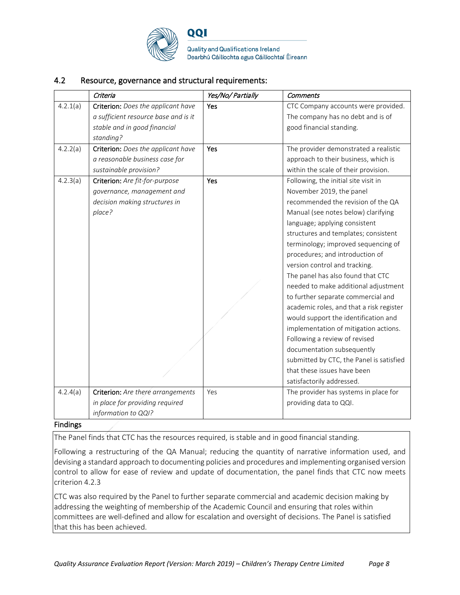

**Quality and Qualifications Ireland** Dearbhú Cáilíochta agus Cáilíochtaí Éireann

### 4.2 Resource, governance and structural requirements:

|          | Criteria                                                                                                                | Yes/No/ Partially | <b>Comments</b>                                                                                                                                                                                                                                                                                                                                                                                                                                                                                                                                                                                                                                                                                                                                          |
|----------|-------------------------------------------------------------------------------------------------------------------------|-------------------|----------------------------------------------------------------------------------------------------------------------------------------------------------------------------------------------------------------------------------------------------------------------------------------------------------------------------------------------------------------------------------------------------------------------------------------------------------------------------------------------------------------------------------------------------------------------------------------------------------------------------------------------------------------------------------------------------------------------------------------------------------|
| 4.2.1(a) | Criterion: Does the applicant have<br>a sufficient resource base and is it<br>stable and in good financial<br>standing? | Yes               | CTC Company accounts were provided.<br>The company has no debt and is of<br>good financial standing.                                                                                                                                                                                                                                                                                                                                                                                                                                                                                                                                                                                                                                                     |
| 4.2.2(a) | Criterion: Does the applicant have<br>a reasonable business case for<br>sustainable provision?                          | Yes               | The provider demonstrated a realistic<br>approach to their business, which is<br>within the scale of their provision.                                                                                                                                                                                                                                                                                                                                                                                                                                                                                                                                                                                                                                    |
| 4.2.3(a) | Criterion: Are fit-for-purpose<br>governance, management and<br>decision making structures in<br>place?                 | Yes               | Following, the initial site visit in<br>November 2019, the panel<br>recommended the revision of the QA<br>Manual (see notes below) clarifying<br>language; applying consistent<br>structures and templates; consistent<br>terminology; improved sequencing of<br>procedures; and introduction of<br>version control and tracking.<br>The panel has also found that CTC<br>needed to make additional adjustment<br>to further separate commercial and<br>academic roles, and that a risk register<br>would support the identification and<br>implementation of mitigation actions.<br>Following a review of revised<br>documentation subsequently<br>submitted by CTC, the Panel is satisfied<br>that these issues have been<br>satisfactorily addressed. |
| 4.2.4(a) | Criterion: Are there arrangements<br>in place for providing required<br>information to QQI?                             | Yes               | The provider has systems in place for<br>providing data to QQI.                                                                                                                                                                                                                                                                                                                                                                                                                                                                                                                                                                                                                                                                                          |

#### Findings

The Panel finds that CTC has the resources required, is stable and in good financial standing.

Following a restructuring of the QA Manual; reducing the quantity of narrative information used, and devising a standard approach to documenting policies and procedures and implementing organised version control to allow for ease of review and update of documentation, the panel finds that CTC now meets criterion 4.2.3

CTC was also required by the Panel to further separate commercial and academic decision making by addressing the weighting of membership of the Academic Council and ensuring that roles within committees are well-defined and allow for escalation and oversight of decisions. The Panel is satisfied that this has been achieved.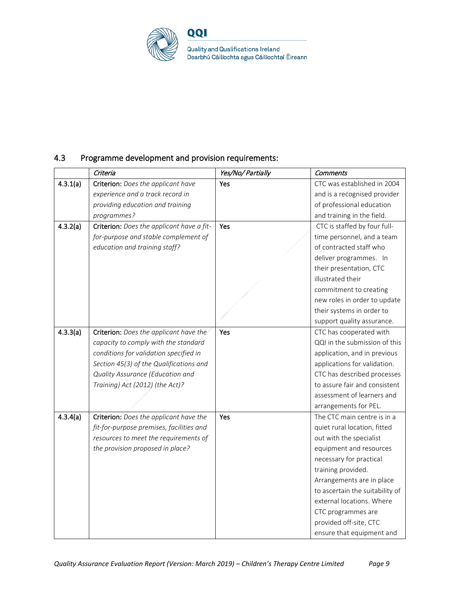

Quality and Qualifications Ireland<br>Dearbhú Cáilíochta agus Cáilíochtaí Éireann

## 4.3 Programme development and provision requirements:

|          | Criteria                                  | Yes/No/ Partially | <b>Comments</b>                 |
|----------|-------------------------------------------|-------------------|---------------------------------|
| 4.3.1(a) | Criterion: Does the applicant have        | Yes               | CTC was established in 2004     |
|          | experience and a track record in          |                   | and is a recognised provider    |
|          | providing education and training          |                   | of professional education       |
|          | programmes?                               |                   | and training in the field.      |
| 4.3.2(a) | Criterion: Does the applicant have a fit- | Yes               | CTC is staffed by four full-    |
|          | for-purpose and stable complement of      |                   | time personnel, and a team      |
|          | education and training staff?             |                   | of contracted staff who         |
|          |                                           |                   | deliver programmes. In          |
|          |                                           |                   | their presentation, CTC         |
|          |                                           |                   | illustrated their               |
|          |                                           |                   | commitment to creating          |
|          |                                           |                   | new roles in order to update    |
|          |                                           |                   | their systems in order to       |
|          |                                           |                   | support quality assurance.      |
| 4.3.3(a) | Criterion: Does the applicant have the    | Yes               | CTC has cooperated with         |
|          | capacity to comply with the standard      |                   | QQI in the submission of this   |
|          | conditions for validation specified in    |                   | application, and in previous    |
|          | Section 45(3) of the Qualifications and   |                   | applications for validation.    |
|          | Quality Assurance (Education and          |                   | CTC has described processes     |
|          | Training) Act (2012) (the Act)?           |                   | to assure fair and consistent   |
|          |                                           |                   | assessment of learners and      |
|          |                                           |                   | arrangements for PEL.           |
| 4.3.4(a) | Criterion: Does the applicant have the    | Yes               | The CTC main centre is in a     |
|          | fit-for-purpose premises, facilities and  |                   | quiet rural location, fitted    |
|          | resources to meet the requirements of     |                   | out with the specialist         |
|          | the provision proposed in place?          |                   | equipment and resources         |
|          |                                           |                   | necessary for practical         |
|          |                                           |                   | training provided.              |
|          |                                           |                   | Arrangements are in place       |
|          |                                           |                   | to ascertain the suitability of |
|          |                                           |                   | external locations. Where       |
|          |                                           |                   | CTC programmes are              |
|          |                                           |                   | provided off-site, CTC          |
|          |                                           |                   | ensure that equipment and       |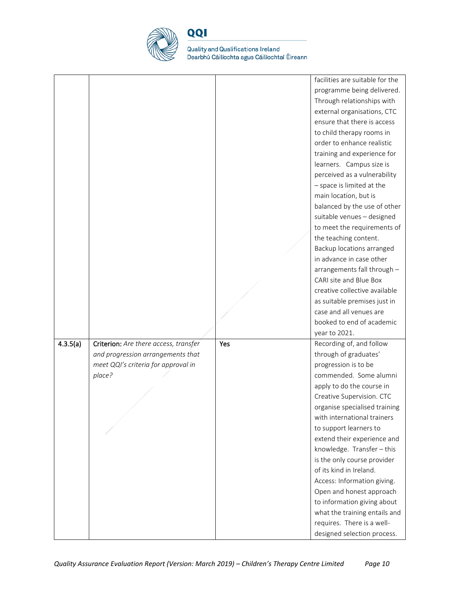

Quality and Qualifications Ireland<br>Dearbhú Cáilíochta agus Cáilíochtaí Éireann

|          |                                       |     | facilities are suitable for the |
|----------|---------------------------------------|-----|---------------------------------|
|          |                                       |     | programme being delivered.      |
|          |                                       |     | Through relationships with      |
|          |                                       |     | external organisations, CTC     |
|          |                                       |     | ensure that there is access     |
|          |                                       |     | to child therapy rooms in       |
|          |                                       |     | order to enhance realistic      |
|          |                                       |     | training and experience for     |
|          |                                       |     | learners. Campus size is        |
|          |                                       |     | perceived as a vulnerability    |
|          |                                       |     | - space is limited at the       |
|          |                                       |     | main location, but is           |
|          |                                       |     | balanced by the use of other    |
|          |                                       |     | suitable venues - designed      |
|          |                                       |     | to meet the requirements of     |
|          |                                       |     | the teaching content.           |
|          |                                       |     | Backup locations arranged       |
|          |                                       |     | in advance in case other        |
|          |                                       |     | arrangements fall through -     |
|          |                                       |     | CARI site and Blue Box          |
|          |                                       |     | creative collective available   |
|          |                                       |     | as suitable premises just in    |
|          |                                       |     | case and all venues are         |
|          |                                       |     | booked to end of academic       |
|          |                                       |     | year to 2021.                   |
| 4.3.5(a) | Criterion: Are there access, transfer | Yes | Recording of, and follow        |
|          | and progression arrangements that     |     | through of graduates'           |
|          | meet QQI's criteria for approval in   |     | progression is to be            |
|          | place?                                |     | commended. Some alumni          |
|          |                                       |     | apply to do the course in       |
|          |                                       |     | Creative Supervision. CTC       |
|          |                                       |     | organise specialised training   |
|          |                                       |     | with international trainers     |
|          |                                       |     | to support learners to          |
|          |                                       |     | extend their experience and     |
|          |                                       |     | knowledge. Transfer - this      |
|          |                                       |     | is the only course provider     |
|          |                                       |     | of its kind in Ireland.         |
|          |                                       |     | Access: Information giving.     |
|          |                                       |     | Open and honest approach        |
|          |                                       |     | to information giving about     |
|          |                                       |     | what the training entails and   |
|          |                                       |     | requires. There is a well-      |
|          |                                       |     | designed selection process.     |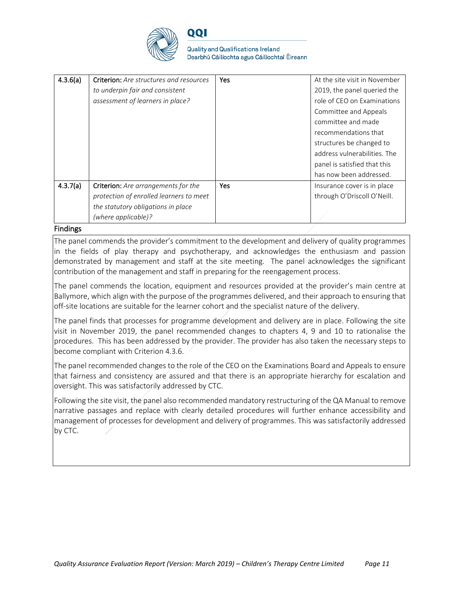

**Quality and Qualifications Ireland** Dearbhú Cáilíochta agus Cáilíochtaí Éireann

| 4.3.6(a) | <b>Criterion:</b> Are structures and resources | Yes | At the site visit in November |
|----------|------------------------------------------------|-----|-------------------------------|
|          | to underpin fair and consistent                |     | 2019, the panel queried the   |
|          | assessment of learners in place?               |     | role of CEO on Examinations   |
|          |                                                |     | Committee and Appeals         |
|          |                                                |     | committee and made            |
|          |                                                |     | recommendations that          |
|          |                                                |     | structures be changed to      |
|          |                                                |     | address vulnerabilities. The  |
|          |                                                |     | panel is satisfied that this  |
|          |                                                |     | has now been addressed.       |
| 4.3.7(a) | <b>Criterion:</b> Are arrangements for the     | Yes | Insurance cover is in place   |
|          | protection of enrolled learners to meet        |     | through O'Driscoll O'Neill.   |
|          | the statutory obligations in place             |     |                               |
|          | (where applicable)?                            |     |                               |
|          |                                                |     |                               |

#### Findings

The panel commends the provider's commitment to the development and delivery of quality programmes in the fields of play therapy and psychotherapy, and acknowledges the enthusiasm and passion demonstrated by management and staff at the site meeting. The panel acknowledges the significant contribution of the management and staff in preparing for the reengagement process.

The panel commends the location, equipment and resources provided at the provider's main centre at Ballymore, which align with the purpose of the programmes delivered, and their approach to ensuring that off-site locations are suitable for the learner cohort and the specialist nature of the delivery.

The panel finds that processes for programme development and delivery are in place. Following the site visit in November 2019, the panel recommended changes to chapters 4, 9 and 10 to rationalise the procedures. This has been addressed by the provider. The provider has also taken the necessary steps to become compliant with Criterion 4.3.6.

The panel recommended changes to the role of the CEO on the Examinations Board and Appeals to ensure that fairness and consistency are assured and that there is an appropriate hierarchy for escalation and oversight. This was satisfactorily addressed by CTC.

Following the site visit, the panel also recommended mandatory restructuring of the QA Manual to remove narrative passages and replace with clearly detailed procedures will further enhance accessibility and management of processes for development and delivery of programmes. This was satisfactorily addressed by CTC.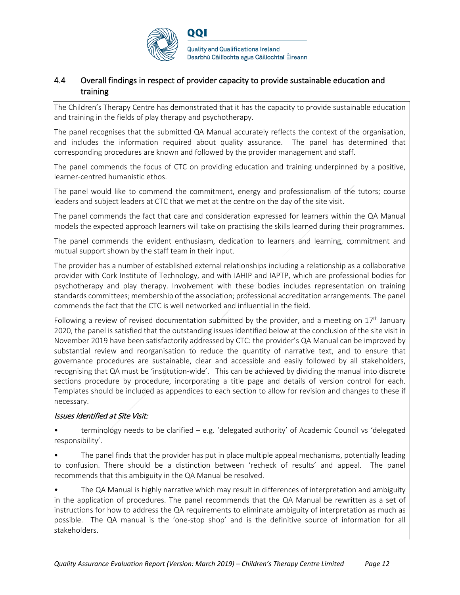

## 4.4 Overall findings in respect of provider capacity to provide sustainable education and training

The Children's Therapy Centre has demonstrated that it has the capacity to provide sustainable education and training in the fields of play therapy and psychotherapy.

The panel recognises that the submitted QA Manual accurately reflects the context of the organisation, and includes the information required about quality assurance. The panel has determined that corresponding procedures are known and followed by the provider management and staff.

The panel commends the focus of CTC on providing education and training underpinned by a positive, learner-centred humanistic ethos.

The panel would like to commend the commitment, energy and professionalism of the tutors; course leaders and subject leaders at CTC that we met at the centre on the day of the site visit.

The panel commends the fact that care and consideration expressed for learners within the QA Manual models the expected approach learners will take on practising the skills learned during their programmes.

The panel commends the evident enthusiasm, dedication to learners and learning, commitment and mutual support shown by the staff team in their input.

The provider has a number of established external relationships including a relationship as a collaborative provider with Cork Institute of Technology, and with IAHIP and IAPTP, which are professional bodies for psychotherapy and play therapy. Involvement with these bodies includes representation on training standards committees; membership of the association; professional accreditation arrangements. The panel commends the fact that the CTC is well networked and influential in the field.

Following a review of revised documentation submitted by the provider, and a meeting on  $17<sup>th</sup>$  January 2020, the panel is satisfied that the outstanding issues identified below at the conclusion of the site visit in November 2019 have been satisfactorily addressed by CTC: the provider's QA Manual can be improved by substantial review and reorganisation to reduce the quantity of narrative text, and to ensure that governance procedures are sustainable, clear and accessible and easily followed by all stakeholders, recognising that QA must be 'institution-wide'. This can be achieved by dividing the manual into discrete sections procedure by procedure, incorporating a title page and details of version control for each. Templates should be included as appendices to each section to allow for revision and changes to these if necessary.

### Issues Identified at Site Visit:

terminology needs to be clarified  $-$  e.g. 'delegated authority' of Academic Council vs 'delegated responsibility'.

The panel finds that the provider has put in place multiple appeal mechanisms, potentially leading to confusion. There should be a distinction between 'recheck of results' and appeal. The panel recommends that this ambiguity in the QA Manual be resolved.

• The QA Manual is highly narrative which may result in differences of interpretation and ambiguity in the application of procedures. The panel recommends that the QA Manual be rewritten as a set of instructions for how to address the QA requirements to eliminate ambiguity of interpretation as much as possible. The QA manual is the 'one-stop shop' and is the definitive source of information for all stakeholders.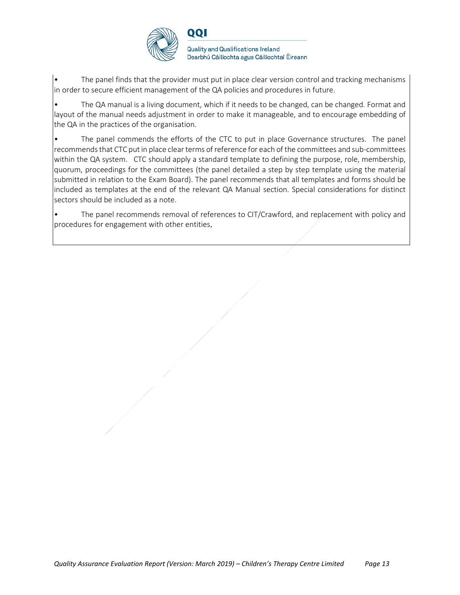

The panel finds that the provider must put in place clear version control and tracking mechanisms in order to secure efficient management of the QA policies and procedures in future.

• The QA manual is a living document, which if it needs to be changed, can be changed. Format and layout of the manual needs adjustment in order to make it manageable, and to encourage embedding of the QA in the practices of the organisation.

The panel commends the efforts of the CTC to put in place Governance structures. The panel recommends that CTC put in place clear terms of reference for each of the committees and sub-committees within the QA system. CTC should apply a standard template to defining the purpose, role, membership, quorum, proceedings for the committees (the panel detailed a step by step template using the material submitted in relation to the Exam Board). The panel recommends that all templates and forms should be included as templates at the end of the relevant QA Manual section. Special considerations for distinct sectors should be included as a note.

The panel recommends removal of references to CIT/Crawford, and replacement with policy and procedures for engagement with other entities.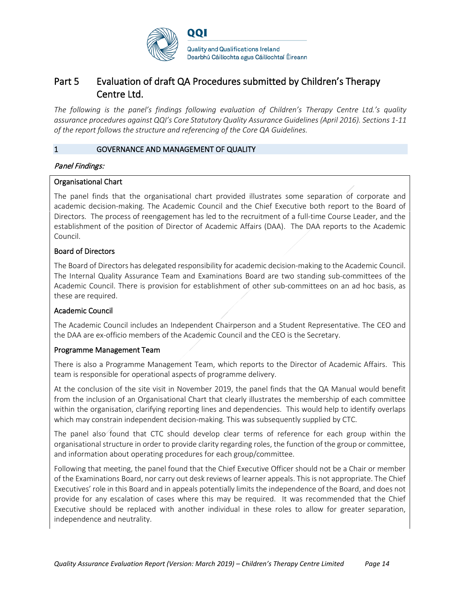

## Part 5 Evaluation of draft QA Procedures submitted by Children's Therapy Centre Ltd.

*The following is the panel's findings following evaluation of Children's Therapy Centre Ltd.'s quality assurance procedures against QQI's Core Statutory Quality Assurance Guidelines (April 2016). Sections 1-11 of the report follows the structure and referencing of the Core QA Guidelines.* 

#### 1 GOVERNANCE AND MANAGEMENT OF QUALITY

#### Panel Findings:

#### Organisational Chart

The panel finds that the organisational chart provided illustrates some separation of corporate and academic decision-making. The Academic Council and the Chief Executive both report to the Board of Directors. The process of reengagement has led to the recruitment of a full-time Course Leader, and the establishment of the position of Director of Academic Affairs (DAA). The DAA reports to the Academic Council.

#### Board of Directors

The Board of Directors has delegated responsibility for academic decision-making to the Academic Council. The Internal Quality Assurance Team and Examinations Board are two standing sub-committees of the Academic Council. There is provision for establishment of other sub-committees on an ad hoc basis, as these are required.

#### Academic Council

The Academic Council includes an Independent Chairperson and a Student Representative. The CEO and the DAA are ex-officio members of the Academic Council and the CEO is the Secretary.

#### Programme Management Team

There is also a Programme Management Team, which reports to the Director of Academic Affairs. This team is responsible for operational aspects of programme delivery.

At the conclusion of the site visit in November 2019, the panel finds that the QA Manual would benefit from the inclusion of an Organisational Chart that clearly illustrates the membership of each committee within the organisation, clarifying reporting lines and dependencies. This would help to identify overlaps which may constrain independent decision-making. This was subsequently supplied by CTC.

The panel also found that CTC should develop clear terms of reference for each group within the organisational structure in order to provide clarity regarding roles, the function of the group or committee, and information about operating procedures for each group/committee.

Following that meeting, the panel found that the Chief Executive Officer should not be a Chair or member of the Examinations Board, nor carry out desk reviews of learner appeals. This is not appropriate. The Chief Executives' role in this Board and in appeals potentially limits the independence of the Board, and does not provide for any escalation of cases where this may be required. It was recommended that the Chief Executive should be replaced with another individual in these roles to allow for greater separation, independence and neutrality.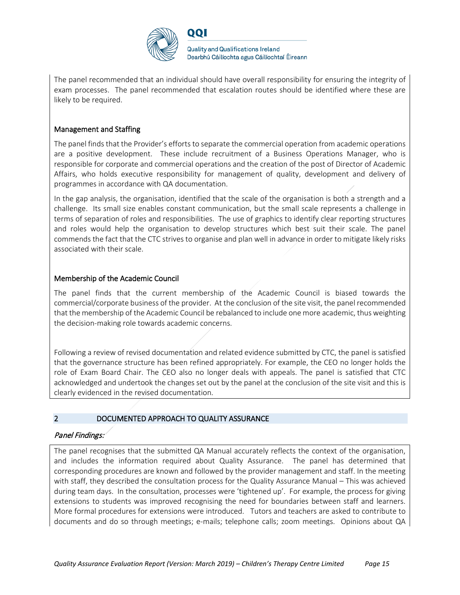

**Quality and Qualifications Ireland** Dearbhú Cáilíochta agus Cáilíochtaí Éireann

The panel recommended that an individual should have overall responsibility for ensuring the integrity of exam processes. The panel recommended that escalation routes should be identified where these are likely to be required.

### Management and Staffing

The panel finds that the Provider's efforts to separate the commercial operation from academic operations are a positive development. These include recruitment of a Business Operations Manager, who is responsible for corporate and commercial operations and the creation of the post of Director of Academic Affairs, who holds executive responsibility for management of quality, development and delivery of programmes in accordance with QA documentation.

In the gap analysis, the organisation, identified that the scale of the organisation is both a strength and a challenge. Its small size enables constant communication, but the small scale represents a challenge in terms of separation of roles and responsibilities. The use of graphics to identify clear reporting structures and roles would help the organisation to develop structures which best suit their scale. The panel commends the fact that the CTC strives to organise and plan well in advance in order to mitigate likely risks associated with their scale.

#### Membership of the Academic Council

The panel finds that the current membership of the Academic Council is biased towards the commercial/corporate business of the provider. At the conclusion of the site visit, the panel recommended that the membership of the Academic Council be rebalanced to include one more academic, thus weighting the decision-making role towards academic concerns.

Following a review of revised documentation and related evidence submitted by CTC, the panel is satisfied that the governance structure has been refined appropriately. For example, the CEO no longer holds the role of Exam Board Chair. The CEO also no longer deals with appeals. The panel is satisfied that CTC acknowledged and undertook the changes set out by the panel at the conclusion of the site visit and this is clearly evidenced in the revised documentation.

#### 2 DOCUMENTED APPROACH TO QUALITY ASSURANCE

#### Panel Findings:

The panel recognises that the submitted QA Manual accurately reflects the context of the organisation, and includes the information required about Quality Assurance. The panel has determined that corresponding procedures are known and followed by the provider management and staff. In the meeting with staff, they described the consultation process for the Quality Assurance Manual – This was achieved during team days. In the consultation, processes were 'tightened up'. For example, the process for giving extensions to students was improved recognising the need for boundaries between staff and learners. More formal procedures for extensions were introduced. Tutors and teachers are asked to contribute to documents and do so through meetings; e-mails; telephone calls; zoom meetings. Opinions about QA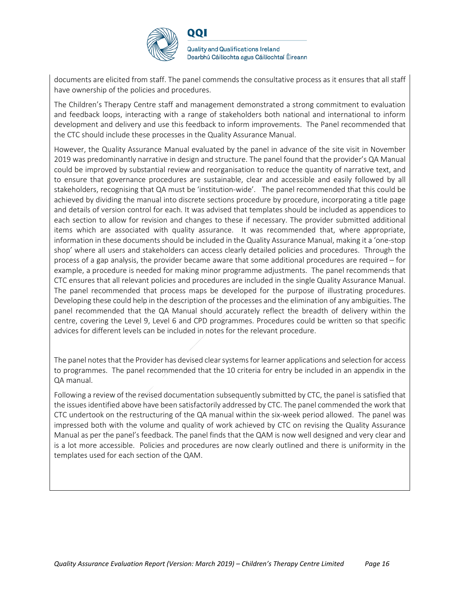

**Quality and Qualifications Ireland** Dearbhú Cáilíochta agus Cáilíochtaí Éireann

documents are elicited from staff. The panel commends the consultative process as it ensures that all staff have ownership of the policies and procedures.

The Children's Therapy Centre staff and management demonstrated a strong commitment to evaluation and feedback loops, interacting with a range of stakeholders both national and international to inform development and delivery and use this feedback to inform improvements. The Panel recommended that the CTC should include these processes in the Quality Assurance Manual.

However, the Quality Assurance Manual evaluated by the panel in advance of the site visit in November 2019 was predominantly narrative in design and structure. The panel found that the provider's QA Manual could be improved by substantial review and reorganisation to reduce the quantity of narrative text, and to ensure that governance procedures are sustainable, clear and accessible and easily followed by all stakeholders, recognising that QA must be 'institution-wide'. The panel recommended that this could be achieved by dividing the manual into discrete sections procedure by procedure, incorporating a title page and details of version control for each. It was advised that templates should be included as appendices to each section to allow for revision and changes to these if necessary. The provider submitted additional items which are associated with quality assurance. It was recommended that, where appropriate, information in these documents should be included in the Quality Assurance Manual, making it a 'one-stop shop' where all users and stakeholders can access clearly detailed policies and procedures. Through the process of a gap analysis, the provider became aware that some additional procedures are required – for example, a procedure is needed for making minor programme adjustments. The panel recommends that CTC ensures that all relevant policies and procedures are included in the single Quality Assurance Manual. The panel recommended that process maps be developed for the purpose of illustrating procedures. Developing these could help in the description of the processes and the elimination of any ambiguities. The panel recommended that the QA Manual should accurately reflect the breadth of delivery within the centre, covering the Level 9, Level 6 and CPD programmes. Procedures could be written so that specific advices for different levels can be included in notes for the relevant procedure.

The panel notes that the Provider has devised clear systems for learner applications and selection for access to programmes. The panel recommended that the 10 criteria for entry be included in an appendix in the QA manual.

Following a review of the revised documentation subsequently submitted by CTC, the panel is satisfied that the issues identified above have been satisfactorily addressed by CTC. The panel commended the work that CTC undertook on the restructuring of the QA manual within the six-week period allowed. The panel was impressed both with the volume and quality of work achieved by CTC on revising the Quality Assurance Manual as per the panel's feedback. The panel finds that the QAM is now well designed and very clear and is a lot more accessible. Policies and procedures are now clearly outlined and there is uniformity in the templates used for each section of the QAM.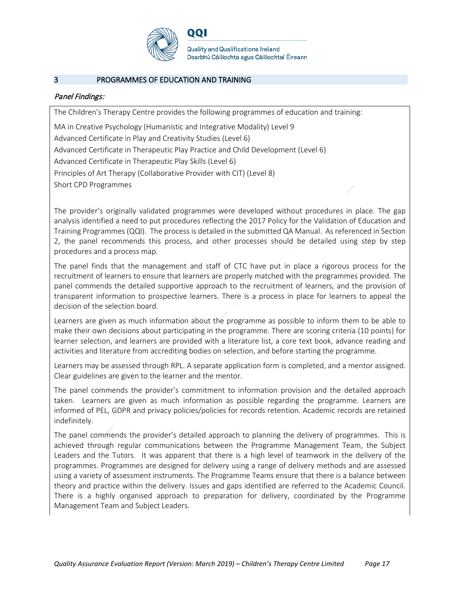

#### 3 PROGRAMMES OF EDUCATION AND TRAINING

#### Panel Findings:

The Children's Therapy Centre provides the following programmes of education and training:

MA in Creative Psychology (Humanistic and Integrative Modality) Level 9

Advanced Certificate in Play and Creativity Studies (Level 6)

Advanced Certificate in Therapeutic Play Practice and Child Development (Level 6)

Advanced Certificate in Therapeutic Play Skills (Level 6)

Principles of Art Therapy (Collaborative Provider with CIT) (Level 8)

Short CPD Programmes

The provider's originally validated programmes were developed without procedures in place. The gap analysis identified a need to put procedures reflecting the 2017 Policy for the Validation of Education and Training Programmes (QQI). The process is detailed in the submitted QA Manual. As referenced in Section 2, the panel recommends this process, and other processes should be detailed using step by step procedures and a process map.

The panel finds that the management and staff of CTC have put in place a rigorous process for the recruitment of learners to ensure that learners are properly matched with the programmes provided. The panel commends the detailed supportive approach to the recruitment of learners, and the provision of transparent information to prospective learners. There is a process in place for learners to appeal the decision of the selection board.

Learners are given as much information about the programme as possible to inform them to be able to make their own decisions about participating in the programme. There are scoring criteria (10 points) for learner selection, and learners are provided with a literature list, a core text book, advance reading and activities and literature from accrediting bodies on selection, and before starting the programme.

Learners may be assessed through RPL. A separate application form is completed, and a mentor assigned. Clear guidelines are given to the learner and the mentor.

The panel commends the provider's commitment to information provision and the detailed approach taken. Learners are given as much information as possible regarding the programme. Learners are informed of PEL, GDPR and privacy policies/policies for records retention. Academic records are retained indefinitely.

The panel commends the provider's detailed approach to planning the delivery of programmes. This is achieved through regular communications between the Programme Management Team, the Subject Leaders and the Tutors. It was apparent that there is a high level of teamwork in the delivery of the programmes. Programmes are designed for delivery using a range of delivery methods and are assessed using a variety of assessment instruments. The Programme Teams ensure that there is a balance between theory and practice within the delivery. Issues and gaps identified are referred to the Academic Council. There is a highly organised approach to preparation for delivery, coordinated by the Programme Management Team and Subject Leaders.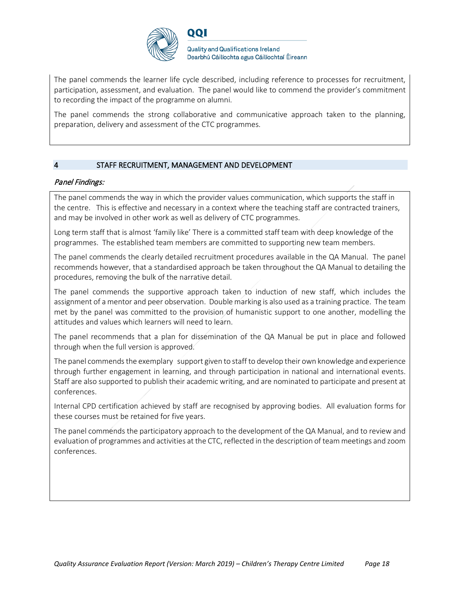

**Quality and Qualifications Ireland** Dearbhú Cáilíochta agus Cáilíochtaí Éireann

The panel commends the learner life cycle described, including reference to processes for recruitment, participation, assessment, and evaluation. The panel would like to commend the provider's commitment to recording the impact of the programme on alumni.

The panel commends the strong collaborative and communicative approach taken to the planning, preparation, delivery and assessment of the CTC programmes.

#### 4 STAFF RECRUITMENT, MANAGEMENT AND DEVELOPMENT

#### Panel Findings:

The panel commends the way in which the provider values communication, which supports the staff in the centre. This is effective and necessary in a context where the teaching staff are contracted trainers, and may be involved in other work as well as delivery of CTC programmes.

Long term staff that is almost 'family like' There is a committed staff team with deep knowledge of the programmes. The established team members are committed to supporting new team members.

The panel commends the clearly detailed recruitment procedures available in the QA Manual. The panel recommends however, that a standardised approach be taken throughout the QA Manual to detailing the procedures, removing the bulk of the narrative detail.

The panel commends the supportive approach taken to induction of new staff, which includes the assignment of a mentor and peer observation. Double marking is also used as a training practice. The team met by the panel was committed to the provision of humanistic support to one another, modelling the attitudes and values which learners will need to learn.

The panel recommends that a plan for dissemination of the QA Manual be put in place and followed through when the full version is approved.

The panel commends the exemplary support given to staff to develop their own knowledge and experience through further engagement in learning, and through participation in national and international events. Staff are also supported to publish their academic writing, and are nominated to participate and present at conferences.

Internal CPD certification achieved by staff are recognised by approving bodies. All evaluation forms for these courses must be retained for five years.

The panel commends the participatory approach to the development of the QA Manual, and to review and evaluation of programmes and activities at the CTC, reflected in the description of team meetings and zoom conferences.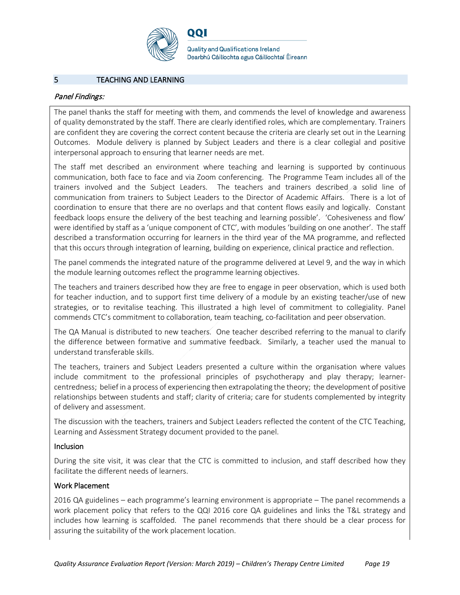

**Quality and Qualifications Ireland** Dearbhú Cáilíochta agus Cáilíochtaí Éireann

#### 5 TEACHING AND LEARNING

#### Panel Findings:

The panel thanks the staff for meeting with them, and commends the level of knowledge and awareness of quality demonstrated by the staff. There are clearly identified roles, which are complementary. Trainers are confident they are covering the correct content because the criteria are clearly set out in the Learning Outcomes. Module delivery is planned by Subject Leaders and there is a clear collegial and positive interpersonal approach to ensuring that learner needs are met.

The staff met described an environment where teaching and learning is supported by continuous communication, both face to face and via Zoom conferencing. The Programme Team includes all of the trainers involved and the Subject Leaders. The teachers and trainers described a solid line of communication from trainers to Subject Leaders to the Director of Academic Affairs. There is a lot of coordination to ensure that there are no overlaps and that content flows easily and logically. Constant feedback loops ensure the delivery of the best teaching and learning possible'. 'Cohesiveness and flow' were identified by staff as a 'unique component of CTC', with modules 'building on one another'. The staff described a transformation occurring for learners in the third year of the MA programme, and reflected that this occurs through integration of learning, building on experience, clinical practice and reflection.

The panel commends the integrated nature of the programme delivered at Level 9, and the way in which the module learning outcomes reflect the programme learning objectives.

The teachers and trainers described how they are free to engage in peer observation, which is used both for teacher induction, and to support first time delivery of a module by an existing teacher/use of new strategies, or to revitalise teaching. This illustrated a high level of commitment to collegiality. Panel commends CTC's commitment to collaboration, team teaching, co-facilitation and peer observation.

The QA Manual is distributed to new teachers. One teacher described referring to the manual to clarify the difference between formative and summative feedback. Similarly, a teacher used the manual to understand transferable skills.

The teachers, trainers and Subject Leaders presented a culture within the organisation where values include commitment to the professional principles of psychotherapy and play therapy; learnercentredness; belief in a process of experiencing then extrapolating the theory; the development of positive relationships between students and staff; clarity of criteria; care for students complemented by integrity of delivery and assessment.

The discussion with the teachers, trainers and Subject Leaders reflected the content of the CTC Teaching, Learning and Assessment Strategy document provided to the panel.

#### Inclusion

During the site visit, it was clear that the CTC is committed to inclusion, and staff described how they facilitate the different needs of learners.

#### Work Placement

2016 QA guidelines – each programme's learning environment is appropriate – The panel recommends a work placement policy that refers to the QQI 2016 core QA guidelines and links the T&L strategy and includes how learning is scaffolded. The panel recommends that there should be a clear process for assuring the suitability of the work placement location.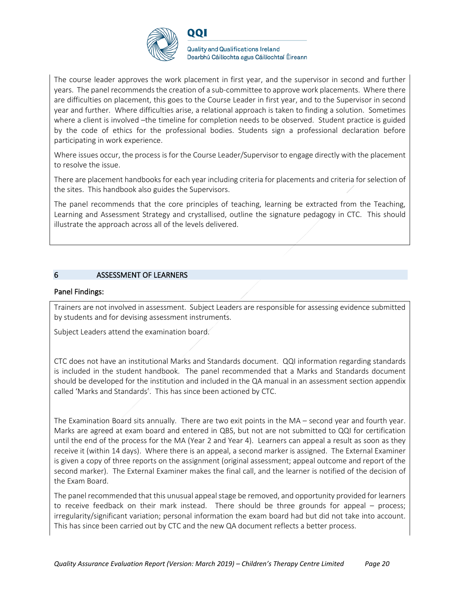

**Quality and Qualifications Ireland** Dearbhú Cáilíochta agus Cáilíochtaí Éireann

The course leader approves the work placement in first year, and the supervisor in second and further years. The panel recommends the creation of a sub-committee to approve work placements. Where there are difficulties on placement, this goes to the Course Leader in first year, and to the Supervisor in second year and further. Where difficulties arise, a relational approach is taken to finding a solution. Sometimes where a client is involved -the timeline for completion needs to be observed. Student practice is guided by the code of ethics for the professional bodies. Students sign a professional declaration before participating in work experience.

Where issues occur, the process is for the Course Leader/Supervisor to engage directly with the placement to resolve the issue.

There are placement handbooks for each year including criteria for placements and criteria for selection of the sites. This handbook also guides the Supervisors.

The panel recommends that the core principles of teaching, learning be extracted from the Teaching, Learning and Assessment Strategy and crystallised, outline the signature pedagogy in CTC. This should illustrate the approach across all of the levels delivered.

#### 6 ASSESSMENT OF LEARNERS

#### Panel Findings:

Trainers are not involved in assessment. Subject Leaders are responsible for assessing evidence submitted by students and for devising assessment instruments.

Subject Leaders attend the examination board.

CTC does not have an institutional Marks and Standards document. QQI information regarding standards is included in the student handbook. The panel recommended that a Marks and Standards document should be developed for the institution and included in the QA manual in an assessment section appendix called 'Marks and Standards'. This has since been actioned by CTC.

The Examination Board sits annually. There are two exit points in the MA – second year and fourth year. Marks are agreed at exam board and entered in QBS, but not are not submitted to QQI for certification until the end of the process for the MA (Year 2 and Year 4). Learners can appeal a result as soon as they receive it (within 14 days). Where there is an appeal, a second marker is assigned. The External Examiner is given a copy of three reports on the assignment (original assessment; appeal outcome and report of the second marker). The External Examiner makes the final call, and the learner is notified of the decision of the Exam Board.

The panel recommended that this unusual appeal stage be removed, and opportunity provided for learners to receive feedback on their mark instead. There should be three grounds for appeal – process; irregularity/significant variation; personal information the exam board had but did not take into account. This has since been carried out by CTC and the new QA document reflects a better process.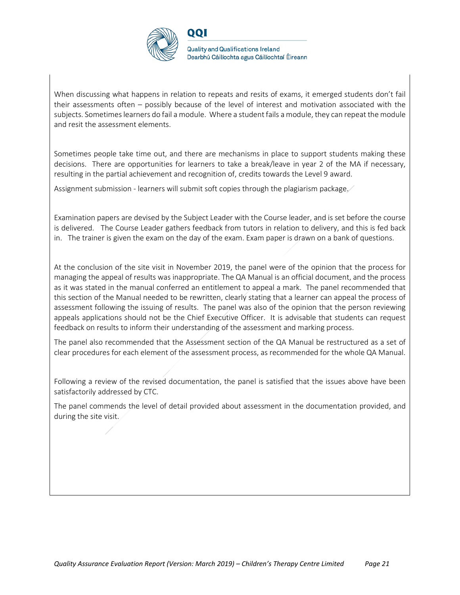

When discussing what happens in relation to repeats and resits of exams, it emerged students don't fail their assessments often – possibly because of the level of interest and motivation associated with the subjects. Sometimes learners do fail a module. Where a student fails a module, they can repeat the module and resit the assessment elements.

Sometimes people take time out, and there are mechanisms in place to support students making these decisions. There are opportunities for learners to take a break/leave in year 2 of the MA if necessary, resulting in the partial achievement and recognition of, credits towards the Level 9 award.

Assignment submission - learners will submit soft copies through the plagiarism package.

Examination papers are devised by the Subject Leader with the Course leader, and is set before the course is delivered. The Course Leader gathers feedback from tutors in relation to delivery, and this is fed back in. The trainer is given the exam on the day of the exam. Exam paper is drawn on a bank of questions.

At the conclusion of the site visit in November 2019, the panel were of the opinion that the process for managing the appeal of results was inappropriate. The QA Manual is an official document, and the process as it was stated in the manual conferred an entitlement to appeal a mark. The panel recommended that this section of the Manual needed to be rewritten, clearly stating that a learner can appeal the process of assessment following the issuing of results. The panel was also of the opinion that the person reviewing appeals applications should not be the Chief Executive Officer. It is advisable that students can request feedback on results to inform their understanding of the assessment and marking process.

The panel also recommended that the Assessment section of the QA Manual be restructured as a set of clear procedures for each element of the assessment process, as recommended for the whole QA Manual.

Following a review of the revised documentation, the panel is satisfied that the issues above have been satisfactorily addressed by CTC.

The panel commends the level of detail provided about assessment in the documentation provided, and during the site visit.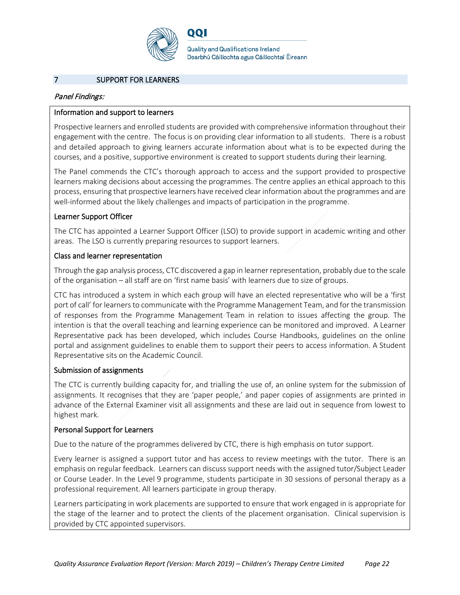

**Quality and Qualifications Ireland** Dearbhú Cáilíochta agus Cáilíochtaí Éireann

#### 7 SUPPORT FOR LEARNERS

#### Panel Findings:

#### Information and support to learners

Prospective learners and enrolled students are provided with comprehensive information throughout their engagement with the centre. The focus is on providing clear information to all students. There is a robust and detailed approach to giving learners accurate information about what is to be expected during the courses, and a positive, supportive environment is created to support students during their learning.

The Panel commends the CTC's thorough approach to access and the support provided to prospective learners making decisions about accessing the programmes. The centre applies an ethical approach to this process, ensuring that prospective learners have received clear information about the programmes and are well-informed about the likely challenges and impacts of participation in the programme.

#### Learner Support Officer

The CTC has appointed a Learner Support Officer (LSO) to provide support in academic writing and other areas. The LSO is currently preparing resources to support learners.

#### Class and learner representation

Through the gap analysis process, CTC discovered a gap in learner representation, probably due to the scale of the organisation – all staff are on 'first name basis' with learners due to size of groups.

CTC has introduced a system in which each group will have an elected representative who will be a 'first port of call' for learners to communicate with the Programme Management Team, and for the transmission of responses from the Programme Management Team in relation to issues affecting the group. The intention is that the overall teaching and learning experience can be monitored and improved. A Learner Representative pack has been developed, which includes Course Handbooks, guidelines on the online portal and assignment guidelines to enable them to support their peers to access information. A Student Representative sits on the Academic Council.

#### Submission of assignments

The CTC is currently building capacity for, and trialling the use of, an online system for the submission of assignments. It recognises that they are 'paper people,' and paper copies of assignments are printed in advance of the External Examiner visit all assignments and these are laid out in sequence from lowest to highest mark.

#### Personal Support for Learners

Due to the nature of the programmes delivered by CTC, there is high emphasis on tutor support.

Every learner is assigned a support tutor and has access to review meetings with the tutor. There is an emphasis on regular feedback. Learners can discuss support needs with the assigned tutor/Subject Leader or Course Leader. In the Level 9 programme, students participate in 30 sessions of personal therapy as a professional requirement. All learners participate in group therapy.

Learners participating in work placements are supported to ensure that work engaged in is appropriate for the stage of the learner and to protect the clients of the placement organisation. Clinical supervision is provided by CTC appointed supervisors.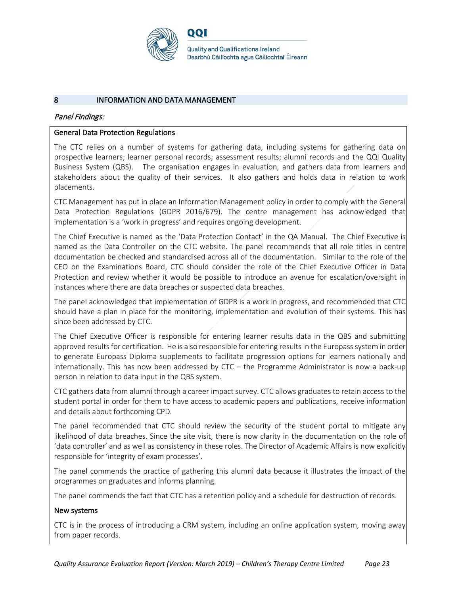

#### 8 INFORMATION AND DATA MANAGEMENT

#### Panel Findings:

#### General Data Protection Regulations

The CTC relies on a number of systems for gathering data, including systems for gathering data on prospective learners; learner personal records; assessment results; alumni records and the QQI Quality Business System (QBS). The organisation engages in evaluation, and gathers data from learners and stakeholders about the quality of their services. It also gathers and holds data in relation to work placements.

CTC Management has put in place an Information Management policy in order to comply with the General Data Protection Regulations (GDPR 2016/679). The centre management has acknowledged that implementation is a 'work in progress' and requires ongoing development.

The Chief Executive is named as the 'Data Protection Contact' in the QA Manual. The Chief Executive is named as the Data Controller on the CTC website. The panel recommends that all role titles in centre documentation be checked and standardised across all of the documentation. Similar to the role of the CEO on the Examinations Board, CTC should consider the role of the Chief Executive Officer in Data Protection and review whether it would be possible to introduce an avenue for escalation/oversight in instances where there are data breaches or suspected data breaches.

The panel acknowledged that implementation of GDPR is a work in progress, and recommended that CTC should have a plan in place for the monitoring, implementation and evolution of their systems. This has since been addressed by CTC.

The Chief Executive Officer is responsible for entering learner results data in the QBS and submitting approved results for certification. He is also responsible for entering results in the Europass system in order to generate Europass Diploma supplements to facilitate progression options for learners nationally and internationally. This has now been addressed by CTC – the Programme Administrator is now a back-up person in relation to data input in the QBS system.

CTC gathers data from alumni through a career impact survey. CTC allows graduates to retain access to the student portal in order for them to have access to academic papers and publications, receive information and details about forthcoming CPD.

The panel recommended that CTC should review the security of the student portal to mitigate any likelihood of data breaches. Since the site visit, there is now clarity in the documentation on the role of 'data controller' and as well as consistency in these roles. The Director of Academic Affairs is now explicitly responsible for 'integrity of exam processes'.

The panel commends the practice of gathering this alumni data because it illustrates the impact of the programmes on graduates and informs planning.

The panel commends the fact that CTC has a retention policy and a schedule for destruction of records.

#### New systems

CTC is in the process of introducing a CRM system, including an online application system, moving away from paper records.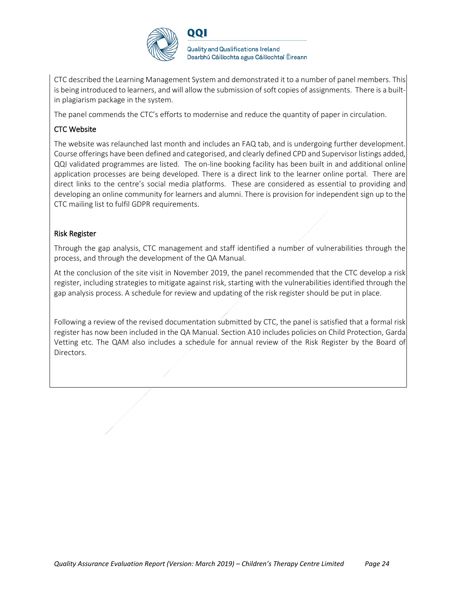

CTC described the Learning Management System and demonstrated it to a number of panel members. This is being introduced to learners, and will allow the submission of soft copies of assignments. There is a builtin plagiarism package in the system.

The panel commends the CTC's efforts to modernise and reduce the quantity of paper in circulation.

## CTC Website

The website was relaunched last month and includes an FAQ tab, and is undergoing further development. Course offerings have been defined and categorised, and clearly defined CPD and Supervisor listings added, QQI validated programmes are listed. The on-line booking facility has been built in and additional online application processes are being developed. There is a direct link to the learner online portal. There are direct links to the centre's social media platforms. These are considered as essential to providing and developing an online community for learners and alumni. There is provision for independent sign up to the CTC mailing list to fulfil GDPR requirements.

### Risk Register

Through the gap analysis, CTC management and staff identified a number of vulnerabilities through the process, and through the development of the QA Manual.

At the conclusion of the site visit in November 2019, the panel recommended that the CTC develop a risk register, including strategies to mitigate against risk, starting with the vulnerabilities identified through the gap analysis process. A schedule for review and updating of the risk register should be put in place.

Following a review of the revised documentation submitted by CTC, the panel is satisfied that a formal risk register has now been included in the QA Manual. Section A10 includes policies on Child Protection, Garda Vetting etc. The QAM also includes a schedule for annual review of the Risk Register by the Board of Directors.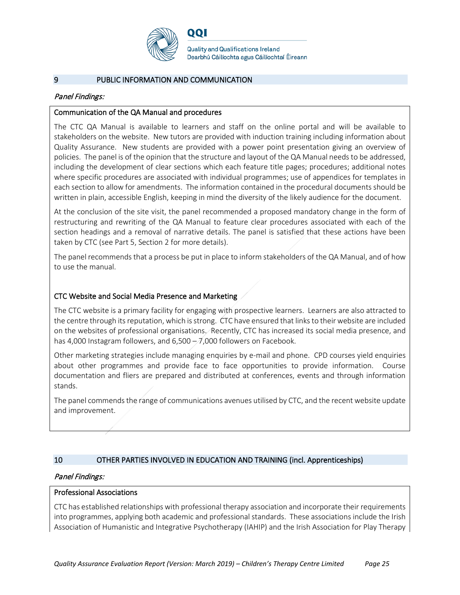

**Quality and Qualifications Ireland** Dearbhú Cáilíochta agus Cáilíochtaí Éireann

#### 9 PUBLIC INFORMATION AND COMMUNICATION

#### Panel Findings:

#### Communication of the QA Manual and procedures

The CTC QA Manual is available to learners and staff on the online portal and will be available to stakeholders on the website. New tutors are provided with induction training including information about Quality Assurance. New students are provided with a power point presentation giving an overview of policies. The panel is of the opinion that the structure and layout of the QA Manual needs to be addressed, including the development of clear sections which each feature title pages; procedures; additional notes where specific procedures are associated with individual programmes; use of appendices for templates in each section to allow for amendments. The information contained in the procedural documents should be written in plain, accessible English, keeping in mind the diversity of the likely audience for the document.

At the conclusion of the site visit, the panel recommended a proposed mandatory change in the form of restructuring and rewriting of the QA Manual to feature clear procedures associated with each of the section headings and a removal of narrative details. The panel is satisfied that these actions have been taken by CTC (see Part 5, Section 2 for more details).

The panel recommends that a process be put in place to inform stakeholders of the QA Manual, and of how to use the manual.

#### CTC Website and Social Media Presence and Marketing

The CTC website is a primary facility for engaging with prospective learners. Learners are also attracted to the centre through its reputation, which is strong. CTC have ensured that links to their website are included on the websites of professional organisations. Recently, CTC has increased its social media presence, and has 4,000 Instagram followers, and  $6,500 - 7,000$  followers on Facebook.

Other marketing strategies include managing enquiries by e-mail and phone. CPD courses yield enquiries about other programmes and provide face to face opportunities to provide information. Course documentation and fliers are prepared and distributed at conferences, events and through information stands.

The panel commends the range of communications avenues utilised by CTC, and the recent website update and improvement.

#### 10 OTHER PARTIES INVOLVED IN EDUCATION AND TRAINING (incl. Apprenticeships)

#### Panel Findings:

#### Professional Associations

CTC has established relationships with professional therapy association and incorporate their requirements into programmes, applying both academic and professional standards. These associations include the Irish Association of Humanistic and Integrative Psychotherapy (IAHIP) and the Irish Association for Play Therapy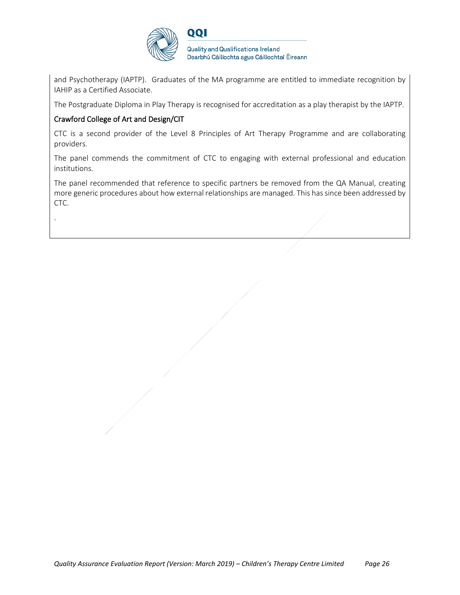

**Quality and Qualifications Ireland** Dearbhú Cáilíochta agus Cáilíochtaí Éireann

and Psychotherapy (IAPTP). Graduates of the MA programme are entitled to immediate recognition by IAHIP as a Certified Associate.

The Postgraduate Diploma in Play Therapy is recognised for accreditation as a play therapist by the IAPTP.

### Crawford College of Art and Design/CIT

.

CTC is a second provider of the Level 8 Principles of Art Therapy Programme and are collaborating providers.

The panel commends the commitment of CTC to engaging with external professional and education institutions.

The panel recommended that reference to specific partners be removed from the QA Manual, creating more generic procedures about how external relationships are managed. This has since been addressed by CTC.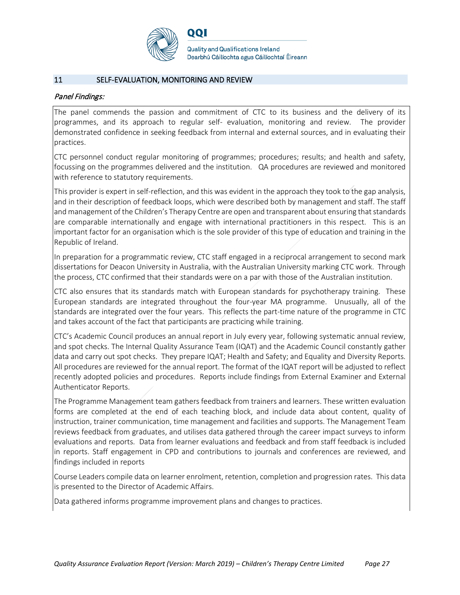

#### 11 SELF-EVALUATION, MONITORING AND REVIEW

#### Panel Findings:

The panel commends the passion and commitment of CTC to its business and the delivery of its programmes, and its approach to regular self- evaluation, monitoring and review. The provider demonstrated confidence in seeking feedback from internal and external sources, and in evaluating their practices.

CTC personnel conduct regular monitoring of programmes; procedures; results; and health and safety, focussing on the programmes delivered and the institution. QA procedures are reviewed and monitored with reference to statutory requirements.

This provider is expert in self-reflection, and this was evident in the approach they took to the gap analysis, and in their description of feedback loops, which were described both by management and staff. The staff and management of the Children's Therapy Centre are open and transparent about ensuring that standards are comparable internationally and engage with international practitioners in this respect. This is an important factor for an organisation which is the sole provider of this type of education and training in the Republic of Ireland.

In preparation for a programmatic review, CTC staff engaged in a reciprocal arrangement to second mark dissertations for Deacon University in Australia, with the Australian University marking CTC work. Through the process, CTC confirmed that their standards were on a par with those of the Australian institution.

CTC also ensures that its standards match with European standards for psychotherapy training. These European standards are integrated throughout the four-year MA programme. Unusually, all of the standards are integrated over the four years. This reflects the part-time nature of the programme in CTC and takes account of the fact that participants are practicing while training.

CTC's Academic Council produces an annual report in July every year, following systematic annual review, and spot checks. The Internal Quality Assurance Team (IQAT) and the Academic Council constantly gather data and carry out spot checks. They prepare IQAT; Health and Safety; and Equality and Diversity Reports. All procedures are reviewed for the annual report. The format of the IQAT report will be adjusted to reflect recently adopted policies and procedures. Reports include findings from External Examiner and External Authenticator Reports.

The Programme Management team gathers feedback from trainers and learners. These written evaluation forms are completed at the end of each teaching block, and include data about content, quality of instruction, trainer communication, time management and facilities and supports. The Management Team reviews feedback from graduates, and utilises data gathered through the career impact surveys to inform evaluations and reports. Data from learner evaluations and feedback and from staff feedback is included in reports. Staff engagement in CPD and contributions to journals and conferences are reviewed, and findings included in reports

Course Leaders compile data on learner enrolment, retention, completion and progression rates. This data is presented to the Director of Academic Affairs.

Data gathered informs programme improvement plans and changes to practices.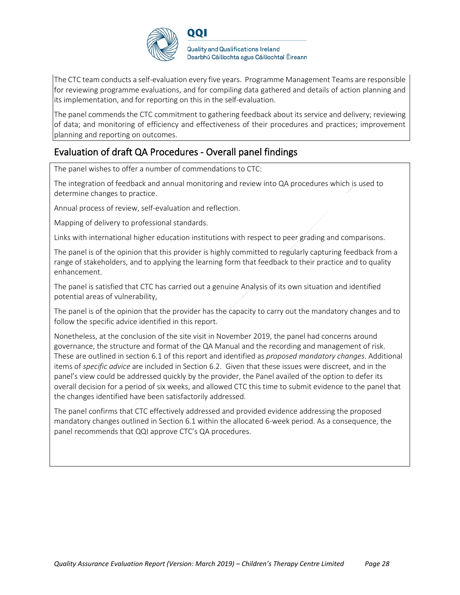

**Quality and Qualifications Ireland** Dearbhú Cáilíochta agus Cáilíochtaí Éireann

The CTC team conducts a self-evaluation every five years. Programme Management Teams are responsible for reviewing programme evaluations, and for compiling data gathered and details of action planning and its implementation, and for reporting on this in the self-evaluation.

The panel commends the CTC commitment to gathering feedback about its service and delivery; reviewing of data; and monitoring of efficiency and effectiveness of their procedures and practices; improvement planning and reporting on outcomes.

## Evaluation of draft QA Procedures - Overall panel findings

The panel wishes to offer a number of commendations to CTC:

The integration of feedback and annual monitoring and review into QA procedures which is used to determine changes to practice.

Annual process of review, self-evaluation and reflection.

Mapping of delivery to professional standards.

Links with international higher education institutions with respect to peer grading and comparisons.

The panel is of the opinion that this provider is highly committed to regularly capturing feedback from a range of stakeholders, and to applying the learning form that feedback to their practice and to quality enhancement.

The panel is satisfied that CTC has carried out a genuine Analysis of its own situation and identified potential areas of vulnerability,

The panel is of the opinion that the provider has the capacity to carry out the mandatory changes and to follow the specific advice identified in this report.

Nonetheless, at the conclusion of the site visit in November 2019, the panel had concerns around governance, the structure and format of the QA Manual and the recording and management of risk. These are outlined in section 6.1 of this report and identified as *proposed mandatory changes*. Additional items of *specific advice* are included in Section 6.2. Given that these issues were discreet, and in the panel's view could be addressed quickly by the provider, the Panel availed of the option to defer its overall decision for a period of six weeks, and allowed CTC this time to submit evidence to the panel that the changes identified have been satisfactorily addressed.

The panel confirms that CTC effectively addressed and provided evidence addressing the proposed mandatory changes outlined in Section 6.1 within the allocated 6-week period. As a consequence, the panel recommends that QQI approve CTC's QA procedures.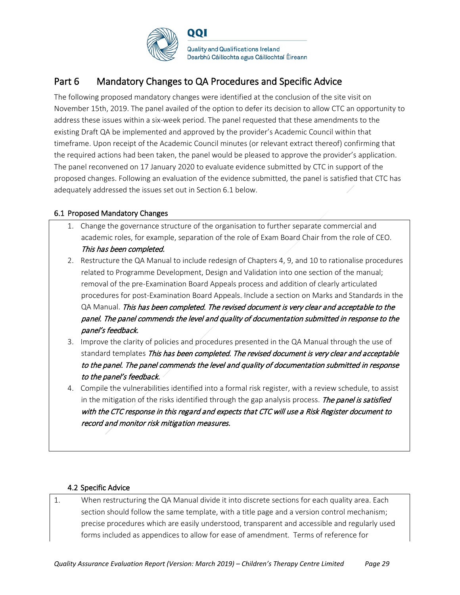

## Part 6 Mandatory Changes to QA Procedures and Specific Advice

The following proposed mandatory changes were identified at the conclusion of the site visit on November 15th, 2019. The panel availed of the option to defer its decision to allow CTC an opportunity to address these issues within a six-week period. The panel requested that these amendments to the existing Draft QA be implemented and approved by the provider's Academic Council within that timeframe. Upon receipt of the Academic Council minutes (or relevant extract thereof) confirming that the required actions had been taken, the panel would be pleased to approve the provider's application. The panel reconvened on 17 January 2020 to evaluate evidence submitted by CTC in support of the proposed changes. Following an evaluation of the evidence submitted, the panel is satisfied that CTC has adequately addressed the issues set out in Section 6.1 below.

## 6.1 Proposed Mandatory Changes

- 1. Change the governance structure of the organisation to further separate commercial and academic roles, for example, separation of the role of Exam Board Chair from the role of CEO. This has been completed.
- 2. Restructure the QA Manual to include redesign of Chapters 4, 9, and 10 to rationalise procedures related to Programme Development, Design and Validation into one section of the manual; removal of the pre-Examination Board Appeals process and addition of clearly articulated procedures for post-Examination Board Appeals. Include a section on Marks and Standards in the QA Manual. This has been completed. The revised document is very clear and acceptable to the panel. The panel commends the level and quality of documentation submitted in response to the panel's feedback.
- 3. Improve the clarity of policies and procedures presented in the QA Manual through the use of standard templates This has been completed. The revised document is very clear and acceptable to the panel. The panel commends the level and quality of documentation submitted in response to the panel's feedback.
- 4. Compile the vulnerabilities identified into a formal risk register, with a review schedule, to assist in the mitigation of the risks identified through the gap analysis process. The panel is satisfied with the CTC response in this regard and expects that CTC will use a Risk Register document to record and monitor risk mitigation measures.

### 4.2 Specific Advice

1. When restructuring the QA Manual divide it into discrete sections for each quality area. Each section should follow the same template, with a title page and a version control mechanism; precise procedures which are easily understood, transparent and accessible and regularly used forms included as appendices to allow for ease of amendment. Terms of reference for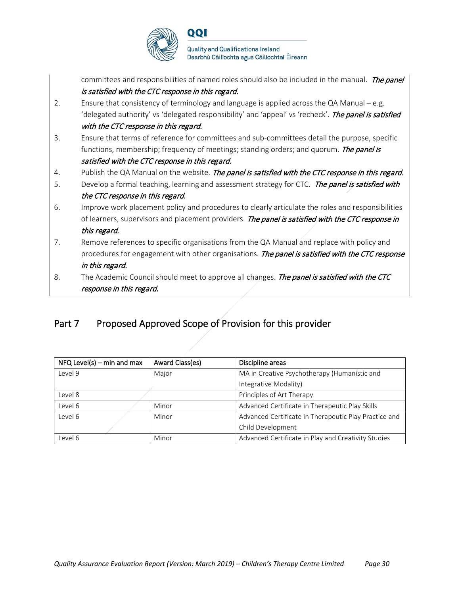

|    | response in this regard.                                                                                   |
|----|------------------------------------------------------------------------------------------------------------|
| 8. | The Academic Council should meet to approve all changes. The panel is satisfied with the CTC               |
|    | in this regard.                                                                                            |
|    | procedures for engagement with other organisations. The panel is satisfied with the CTC response           |
| 7. | this regard.<br>Remove references to specific organisations from the QA Manual and replace with policy and |
|    | of learners, supervisors and placement providers. The panel is satisfied with the CTC response in          |
| 6. | Improve work placement policy and procedures to clearly articulate the roles and responsibilities          |
|    | the CTC response in this regard.                                                                           |
| 5. | Develop a formal teaching, learning and assessment strategy for CTC. The panel is satisfied with           |
| 4. | Publish the QA Manual on the website. The panel is satisfied with the CTC response in this regard.         |
|    | satisfied with the CTC response in this regard.                                                            |
|    | functions, membership; frequency of meetings; standing orders; and quorum. <i>The panel is</i>             |
| 3. | Ensure that terms of reference for committees and sub-committees detail the purpose, specific              |
|    | with the CTC response in this regard.                                                                      |
|    | 'delegated authority' vs 'delegated responsibility' and 'appeal' vs 'recheck'. The panel is satisfied      |
| 2. | Ensure that consistency of terminology and language is applied across the QA Manual – e.g.                 |
|    | is satisfied with the CTC response in this regard.                                                         |
|    | committees and responsibilities of named roles should also be included in the manual. The panel            |

# Part 7 Proposed Approved Scope of Provision for this provider

| $NFA$ Level(s) – min and max | Award Class(es) | Discipline areas                                      |
|------------------------------|-----------------|-------------------------------------------------------|
| Level 9                      | Major           | MA in Creative Psychotherapy (Humanistic and          |
|                              |                 | Integrative Modality)                                 |
| Level 8                      |                 | Principles of Art Therapy                             |
| Level 6                      | Minor           | Advanced Certificate in Therapeutic Play Skills       |
| Level 6                      | Minor           | Advanced Certificate in Therapeutic Play Practice and |
|                              |                 | Child Development                                     |
| Level 6                      | Minor           | Advanced Certificate in Play and Creativity Studies   |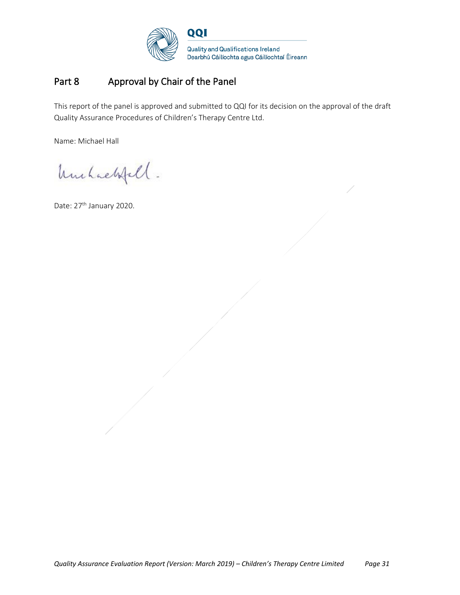

## Part 8 Approval by Chair of the Panel

This report of the panel is approved and submitted to QQI for its decision on the approval of the draft Quality Assurance Procedures of Children's Therapy Centre Ltd.

Name: Michael Hall

Unchackfell.

Date: 27<sup>th</sup> January 2020.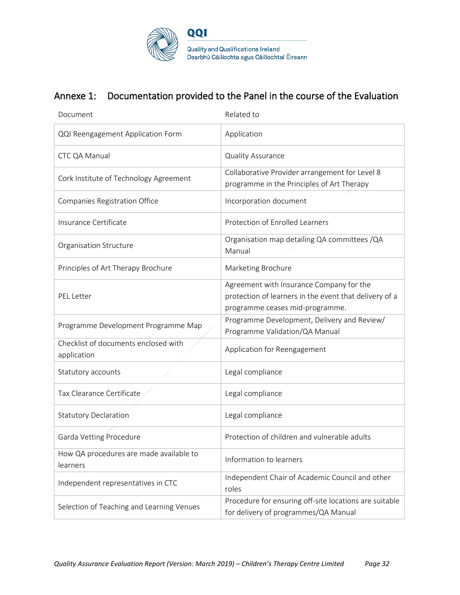

## Annexe 1: Documentation provided to the Panel in the course of the Evaluation

| Document                                            | Related to                                                                                                                            |
|-----------------------------------------------------|---------------------------------------------------------------------------------------------------------------------------------------|
| QQI Reengagement Application Form                   | Application                                                                                                                           |
| CTC QA Manual                                       | Quality Assurance                                                                                                                     |
| Cork Institute of Technology Agreement              | Collaborative Provider arrangement for Level 8<br>programme in the Principles of Art Therapy                                          |
| Companies Registration Office                       | Incorporation document                                                                                                                |
| Insurance Certificate                               | Protection of Enrolled Learners                                                                                                       |
| Organisation Structure                              | Organisation map detailing QA committees / QA<br>Manual                                                                               |
| Principles of Art Therapy Brochure                  | Marketing Brochure                                                                                                                    |
| <b>PEL Letter</b>                                   | Agreement with Insurance Company for the<br>protection of learners in the event that delivery of a<br>programme ceases mid-programme. |
| Programme Development Programme Map                 | Programme Development, Delivery and Review/<br>Programme Validation/QA Manual                                                         |
| Checklist of documents enclosed with<br>application | Application for Reengagement                                                                                                          |
| Statutory accounts                                  | Legal compliance                                                                                                                      |
| Tax Clearance Certificate                           | Legal compliance                                                                                                                      |
| <b>Statutory Declaration</b>                        | Legal compliance                                                                                                                      |
| Garda Vetting Procedure                             | Protection of children and vulnerable adults                                                                                          |
| How QA procedures are made available to<br>learners | Information to learners                                                                                                               |
| Independent representatives in CTC                  | Independent Chair of Academic Council and other<br>roles                                                                              |
| Selection of Teaching and Learning Venues           | Procedure for ensuring off-site locations are suitable<br>for delivery of programmes/QA Manual                                        |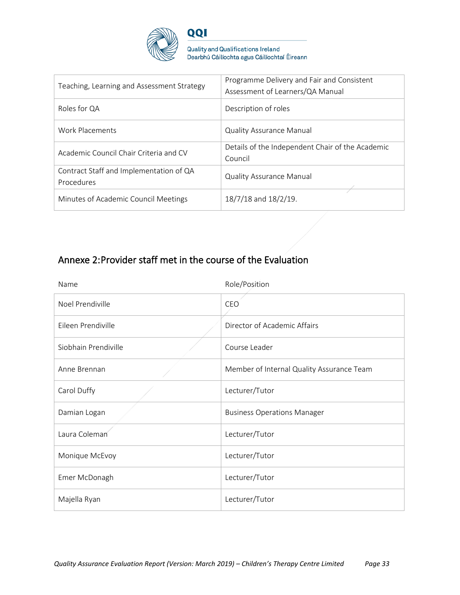

Quality and Qualifications Ireland<br>Dearbhú Cáilíochta agus Cáilíochtaí Éireann

| Teaching, Learning and Assessment Strategy            | Programme Delivery and Fair and Consistent<br>Assessment of Learners/QA Manual |
|-------------------------------------------------------|--------------------------------------------------------------------------------|
| Roles for QA                                          | Description of roles                                                           |
| Work Placements                                       | <b>Quality Assurance Manual</b>                                                |
| Academic Council Chair Criteria and CV                | Details of the Independent Chair of the Academic<br>Council                    |
| Contract Staff and Implementation of QA<br>Procedures | <b>Quality Assurance Manual</b>                                                |
| Minutes of Academic Council Meetings                  | 18/7/18 and 18/2/19.                                                           |

# Annexe 2: Provider staff met in the course of the Evaluation

| Name                 | Role/Position                             |
|----------------------|-------------------------------------------|
| Noel Prendiville     | CEO                                       |
| Eileen Prendiville   | Director of Academic Affairs              |
| Siobhain Prendiville | Course Leader                             |
| Anne Brennan         | Member of Internal Quality Assurance Team |
| Carol Duffy          | Lecturer/Tutor                            |
| Damian Logan         | <b>Business Operations Manager</b>        |
| Laura Coleman        | Lecturer/Tutor                            |
| Monique McEvoy       | Lecturer/Tutor                            |
| Emer McDonagh        | Lecturer/Tutor                            |
| Majella Ryan         | Lecturer/Tutor                            |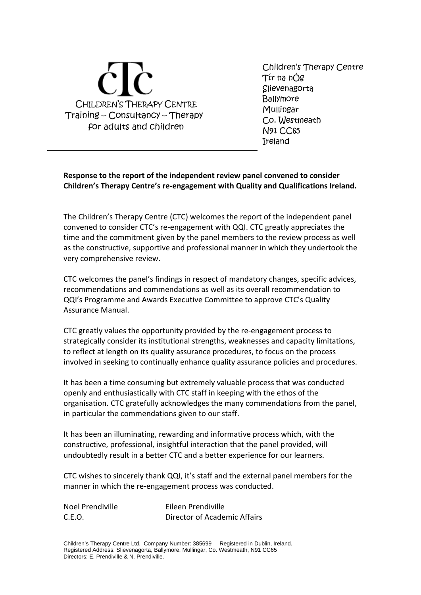

Children's Therapy Centre Tír na nÓg **Slievenagorta Ballymore** Mullingar Co. Westmeath N91 CC65 Ireland

**Response to the report of the independent review panel convened to consider Children's Therapy Centre's re-engagement with Quality and Qualifications Ireland.**

The Children's Therapy Centre (CTC) welcomes the report of the independent panel convened to consider CTC's re-engagement with QQI. CTC greatly appreciates the time and the commitment given by the panel members to the review process as well as the constructive, supportive and professional manner in which they undertook the very comprehensive review.

CTC welcomes the panel's findings in respect of mandatory changes, specific advices, recommendations and commendations as well as its overall recommendation to QQI's Programme and Awards Executive Committee to approve CTC's Quality Assurance Manual.

CTC greatly values the opportunity provided by the re-engagement process to strategically consider its institutional strengths, weaknesses and capacity limitations, to reflect at length on its quality assurance procedures, to focus on the process involved in seeking to continually enhance quality assurance policies and procedures.

It has been a time consuming but extremely valuable process that was conducted openly and enthusiastically with CTC staff in keeping with the ethos of the organisation. CTC gratefully acknowledges the many commendations from the panel, in particular the commendations given to our staff.

It has been an illuminating, rewarding and informative process which, with the constructive, professional, insightful interaction that the panel provided, will undoubtedly result in a better CTC and a better experience for our learners.

CTC wishes to sincerely thank QQI, it's staff and the external panel members for the manner in which the re-engagement process was conducted.

| Noel Prendiville | Eileen Prendiville           |
|------------------|------------------------------|
| C.E.O.           | Director of Academic Affairs |

Children's Therapy Centre Ltd. Company Number: 385699 Registered in Dublin, Ireland. Registered Address: Slievenagorta, Ballymore, Mullingar, Co. Westmeath, N91 CC65 Directors: E. Prendiville & N. Prendiville.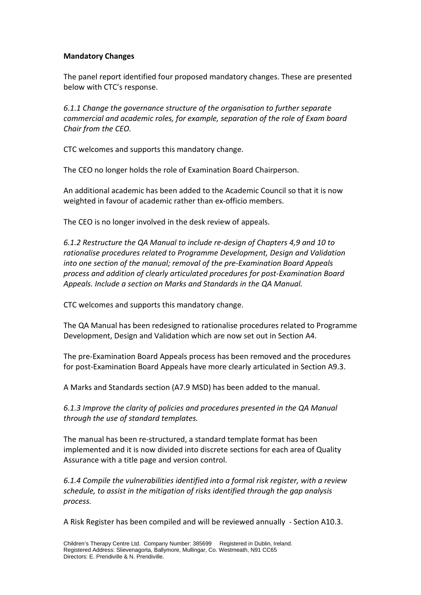### **Mandatory Changes**

The panel report identified four proposed mandatory changes. These are presented below with CTC's response.

*6.1.1 Change the governance structure of the organisation to further separate commercial and academic roles, for example, separation of the role of Exam board Chair from the CEO.*

CTC welcomes and supports this mandatory change.

The CEO no longer holds the role of Examination Board Chairperson.

An additional academic has been added to the Academic Council so that it is now weighted in favour of academic rather than ex-officio members.

The CEO is no longer involved in the desk review of appeals.

*6.1.2 Restructure the QA Manual to include re-design of Chapters 4,9 and 10 to rationalise procedures related to Programme Development, Design and Validation into one section of the manual; removal of the pre-Examination Board Appeals process and addition of clearly articulated procedures for post-Examination Board Appeals. Include a section on Marks and Standards in the QA Manual.*

CTC welcomes and supports this mandatory change.

The QA Manual has been redesigned to rationalise procedures related to Programme Development, Design and Validation which are now set out in Section A4.

The pre-Examination Board Appeals process has been removed and the procedures for post-Examination Board Appeals have more clearly articulated in Section A9.3.

A Marks and Standards section (A7.9 MSD) has been added to the manual.

*6.1.3 Improve the clarity of policies and procedures presented in the QA Manual through the use of standard templates.*

The manual has been re-structured, a standard template format has been implemented and it is now divided into discrete sections for each area of Quality Assurance with a title page and version control.

*6.1.4 Compile the vulnerabilities identified into a formal risk register, with a review schedule, to assist in the mitigation of risks identified through the gap analysis process.*

A Risk Register has been compiled and will be reviewed annually - Section A10.3.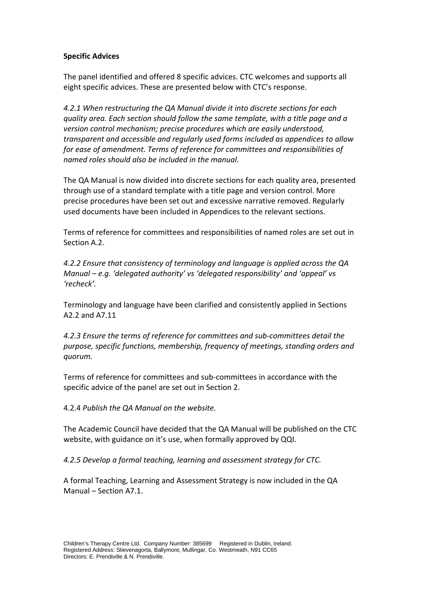## **Specific Advices**

The panel identified and offered 8 specific advices. CTC welcomes and supports all eight specific advices. These are presented below with CTC's response.

*4.2.1 When restructuring the QA Manual divide it into discrete sections for each quality area. Each section should follow the same template, with a title page and a version control mechanism; precise procedures which are easily understood, transparent and accessible and regularly used forms included as appendices to allow for ease of amendment. Terms of reference for committees and responsibilities of named roles should also be included in the manual.*

The QA Manual is now divided into discrete sections for each quality area, presented through use of a standard template with a title page and version control. More precise procedures have been set out and excessive narrative removed. Regularly used documents have been included in Appendices to the relevant sections.

Terms of reference for committees and responsibilities of named roles are set out in Section A.2.

*4.2.2 Ensure that consistency of terminology and language is applied across the QA Manual – e.g. 'delegated authority' vs 'delegated responsibility' and 'appeal' vs 'recheck'.*

Terminology and language have been clarified and consistently applied in Sections A2.2 and A7.11

*4.2.3 Ensure the terms of reference for committees and sub-committees detail the purpose, specific functions, membership, frequency of meetings, standing orders and quorum.*

Terms of reference for committees and sub-committees in accordance with the specific advice of the panel are set out in Section 2.

4.2.4 *Publish the QA Manual on the website.*

The Academic Council have decided that the QA Manual will be published on the CTC website, with guidance on it's use, when formally approved by QQI.

*4.2.5 Develop a formal teaching, learning and assessment strategy for CTC.*

A formal Teaching, Learning and Assessment Strategy is now included in the QA Manual – Section A7.1.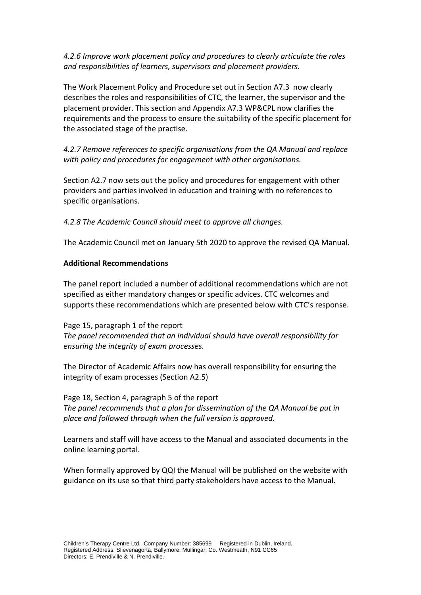## *4.2.6 Improve work placement policy and procedures to clearly articulate the roles and responsibilities of learners, supervisors and placement providers.*

The Work Placement Policy and Procedure set out in Section A7.3 now clearly describes the roles and responsibilities of CTC, the learner, the supervisor and the placement provider. This section and Appendix A7.3 WP&CPL now clarifies the requirements and the process to ensure the suitability of the specific placement for the associated stage of the practise.

*4.2.7 Remove references to specific organisations from the QA Manual and replace with policy and procedures for engagement with other organisations.*

Section A2.7 now sets out the policy and procedures for engagement with other providers and parties involved in education and training with no references to specific organisations.

*4.2.8 The Academic Council should meet to approve all changes.*

The Academic Council met on January 5th 2020 to approve the revised QA Manual.

## **Additional Recommendations**

The panel report included a number of additional recommendations which are not specified as either mandatory changes or specific advices. CTC welcomes and supports these recommendations which are presented below with CTC's response.

Page 15, paragraph 1 of the report *The panel recommended that an individual should have overall responsibility for ensuring the integrity of exam processes.*

The Director of Academic Affairs now has overall responsibility for ensuring the integrity of exam processes (Section A2.5)

Page 18, Section 4, paragraph 5 of the report *The panel recommends that a plan for dissemination of the QA Manual be put in place and followed through when the full version is approved.*

Learners and staff will have access to the Manual and associated documents in the online learning portal.

When formally approved by QQI the Manual will be published on the website with guidance on its use so that third party stakeholders have access to the Manual.